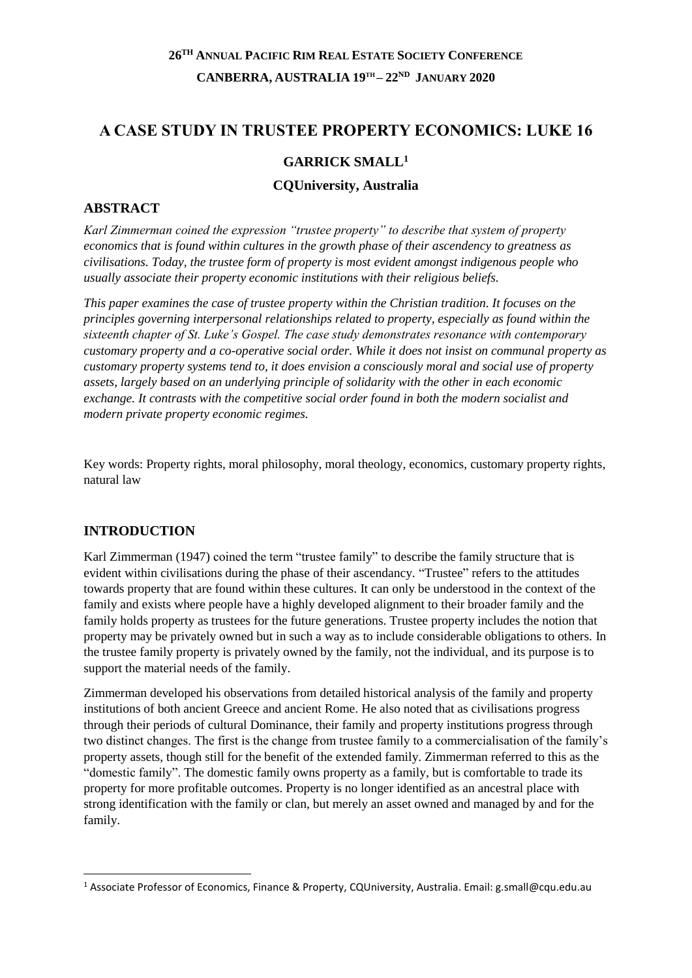# **A CASE STUDY IN TRUSTEE PROPERTY ECONOMICS: LUKE 16**

# **GARRICK SMALL<sup>1</sup>**

#### **CQUniversity, Australia**

## **ABSTRACT**

*Karl Zimmerman coined the expression "trustee property" to describe that system of property economics that is found within cultures in the growth phase of their ascendency to greatness as civilisations. Today, the trustee form of property is most evident amongst indigenous people who usually associate their property economic institutions with their religious beliefs.* 

*This paper examines the case of trustee property within the Christian tradition. It focuses on the principles governing interpersonal relationships related to property, especially as found within the sixteenth chapter of St. Luke's Gospel. The case study demonstrates resonance with contemporary customary property and a co-operative social order. While it does not insist on communal property as customary property systems tend to, it does envision a consciously moral and social use of property assets, largely based on an underlying principle of solidarity with the other in each economic exchange. It contrasts with the competitive social order found in both the modern socialist and modern private property economic regimes.*

Key words: Property rights, moral philosophy, moral theology, economics, customary property rights, natural law

## **INTRODUCTION**

**.** 

Karl Zimmerman (1947) coined the term "trustee family" to describe the family structure that is evident within civilisations during the phase of their ascendancy. "Trustee" refers to the attitudes towards property that are found within these cultures. It can only be understood in the context of the family and exists where people have a highly developed alignment to their broader family and the family holds property as trustees for the future generations. Trustee property includes the notion that property may be privately owned but in such a way as to include considerable obligations to others. In the trustee family property is privately owned by the family, not the individual, and its purpose is to support the material needs of the family.

Zimmerman developed his observations from detailed historical analysis of the family and property institutions of both ancient Greece and ancient Rome. He also noted that as civilisations progress through their periods of cultural Dominance, their family and property institutions progress through two distinct changes. The first is the change from trustee family to a commercialisation of the family's property assets, though still for the benefit of the extended family. Zimmerman referred to this as the "domestic family". The domestic family owns property as a family, but is comfortable to trade its property for more profitable outcomes. Property is no longer identified as an ancestral place with strong identification with the family or clan, but merely an asset owned and managed by and for the family.

<sup>1</sup> Associate Professor of Economics, Finance & Property, CQUniversity, Australia. Email: g.small@cqu.edu.au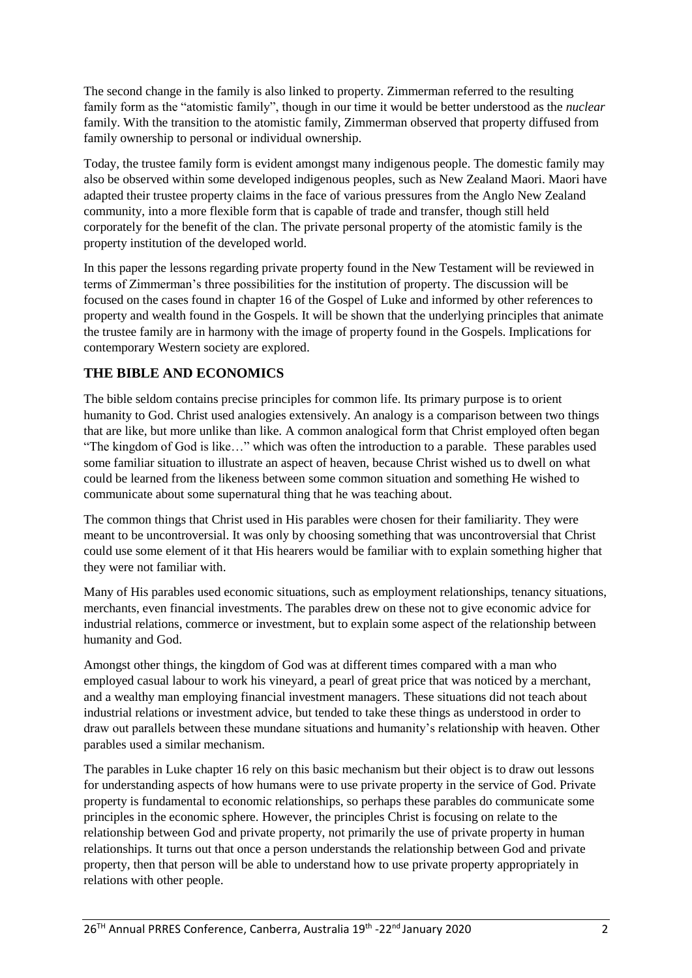The second change in the family is also linked to property. Zimmerman referred to the resulting family form as the "atomistic family", though in our time it would be better understood as the *nuclear* family. With the transition to the atomistic family, Zimmerman observed that property diffused from family ownership to personal or individual ownership.

Today, the trustee family form is evident amongst many indigenous people. The domestic family may also be observed within some developed indigenous peoples, such as New Zealand Maori. Maori have adapted their trustee property claims in the face of various pressures from the Anglo New Zealand community, into a more flexible form that is capable of trade and transfer, though still held corporately for the benefit of the clan. The private personal property of the atomistic family is the property institution of the developed world.

In this paper the lessons regarding private property found in the New Testament will be reviewed in terms of Zimmerman's three possibilities for the institution of property. The discussion will be focused on the cases found in chapter 16 of the Gospel of Luke and informed by other references to property and wealth found in the Gospels. It will be shown that the underlying principles that animate the trustee family are in harmony with the image of property found in the Gospels. Implications for contemporary Western society are explored.

# **THE BIBLE AND ECONOMICS**

The bible seldom contains precise principles for common life. Its primary purpose is to orient humanity to God. Christ used analogies extensively. An analogy is a comparison between two things that are like, but more unlike than like. A common analogical form that Christ employed often began "The kingdom of God is like…" which was often the introduction to a parable. These parables used some familiar situation to illustrate an aspect of heaven, because Christ wished us to dwell on what could be learned from the likeness between some common situation and something He wished to communicate about some supernatural thing that he was teaching about.

The common things that Christ used in His parables were chosen for their familiarity. They were meant to be uncontroversial. It was only by choosing something that was uncontroversial that Christ could use some element of it that His hearers would be familiar with to explain something higher that they were not familiar with.

Many of His parables used economic situations, such as employment relationships, tenancy situations, merchants, even financial investments. The parables drew on these not to give economic advice for industrial relations, commerce or investment, but to explain some aspect of the relationship between humanity and God.

Amongst other things, the kingdom of God was at different times compared with a man who employed casual labour to work his vineyard, a pearl of great price that was noticed by a merchant, and a wealthy man employing financial investment managers. These situations did not teach about industrial relations or investment advice, but tended to take these things as understood in order to draw out parallels between these mundane situations and humanity's relationship with heaven. Other parables used a similar mechanism.

The parables in Luke chapter 16 rely on this basic mechanism but their object is to draw out lessons for understanding aspects of how humans were to use private property in the service of God. Private property is fundamental to economic relationships, so perhaps these parables do communicate some principles in the economic sphere. However, the principles Christ is focusing on relate to the relationship between God and private property, not primarily the use of private property in human relationships. It turns out that once a person understands the relationship between God and private property, then that person will be able to understand how to use private property appropriately in relations with other people.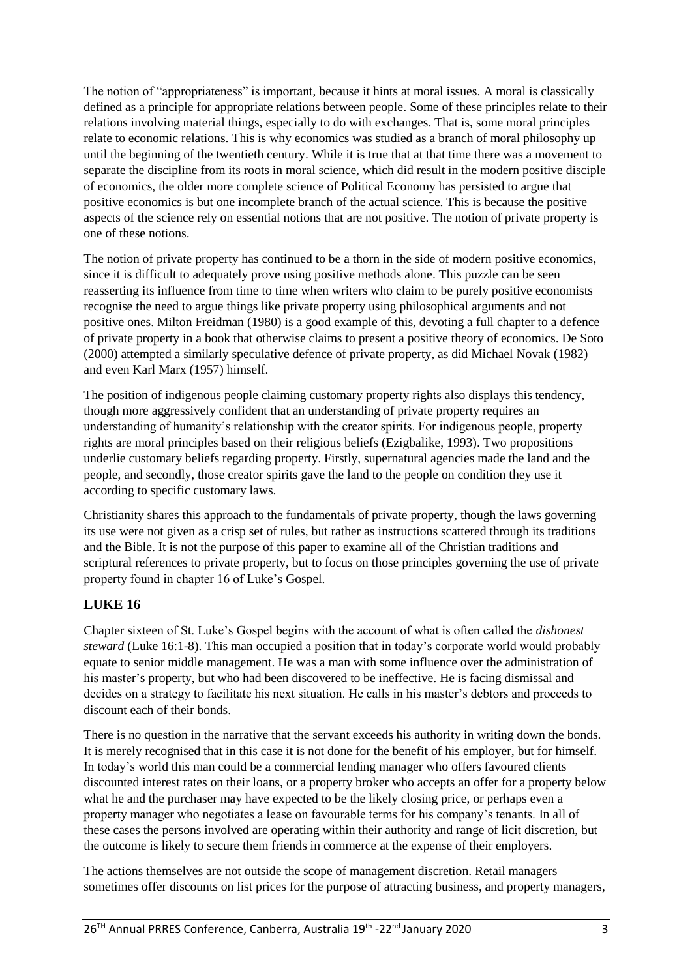The notion of "appropriateness" is important, because it hints at moral issues. A moral is classically defined as a principle for appropriate relations between people. Some of these principles relate to their relations involving material things, especially to do with exchanges. That is, some moral principles relate to economic relations. This is why economics was studied as a branch of moral philosophy up until the beginning of the twentieth century. While it is true that at that time there was a movement to separate the discipline from its roots in moral science, which did result in the modern positive disciple of economics, the older more complete science of Political Economy has persisted to argue that positive economics is but one incomplete branch of the actual science. This is because the positive aspects of the science rely on essential notions that are not positive. The notion of private property is one of these notions.

The notion of private property has continued to be a thorn in the side of modern positive economics, since it is difficult to adequately prove using positive methods alone. This puzzle can be seen reasserting its influence from time to time when writers who claim to be purely positive economists recognise the need to argue things like private property using philosophical arguments and not positive ones. Milton Freidman (1980) is a good example of this, devoting a full chapter to a defence of private property in a book that otherwise claims to present a positive theory of economics. De Soto (2000) attempted a similarly speculative defence of private property, as did Michael Novak (1982) and even Karl Marx (1957) himself.

The position of indigenous people claiming customary property rights also displays this tendency, though more aggressively confident that an understanding of private property requires an understanding of humanity's relationship with the creator spirits. For indigenous people, property rights are moral principles based on their religious beliefs (Ezigbalike, 1993). Two propositions underlie customary beliefs regarding property. Firstly, supernatural agencies made the land and the people, and secondly, those creator spirits gave the land to the people on condition they use it according to specific customary laws.

Christianity shares this approach to the fundamentals of private property, though the laws governing its use were not given as a crisp set of rules, but rather as instructions scattered through its traditions and the Bible. It is not the purpose of this paper to examine all of the Christian traditions and scriptural references to private property, but to focus on those principles governing the use of private property found in chapter 16 of Luke's Gospel.

# **LUKE 16**

Chapter sixteen of St. Luke's Gospel begins with the account of what is often called the *dishonest steward* (Luke 16:1-8). This man occupied a position that in today's corporate world would probably equate to senior middle management. He was a man with some influence over the administration of his master's property, but who had been discovered to be ineffective. He is facing dismissal and decides on a strategy to facilitate his next situation. He calls in his master's debtors and proceeds to discount each of their bonds.

There is no question in the narrative that the servant exceeds his authority in writing down the bonds. It is merely recognised that in this case it is not done for the benefit of his employer, but for himself. In today's world this man could be a commercial lending manager who offers favoured clients discounted interest rates on their loans, or a property broker who accepts an offer for a property below what he and the purchaser may have expected to be the likely closing price, or perhaps even a property manager who negotiates a lease on favourable terms for his company's tenants. In all of these cases the persons involved are operating within their authority and range of licit discretion, but the outcome is likely to secure them friends in commerce at the expense of their employers.

The actions themselves are not outside the scope of management discretion. Retail managers sometimes offer discounts on list prices for the purpose of attracting business, and property managers,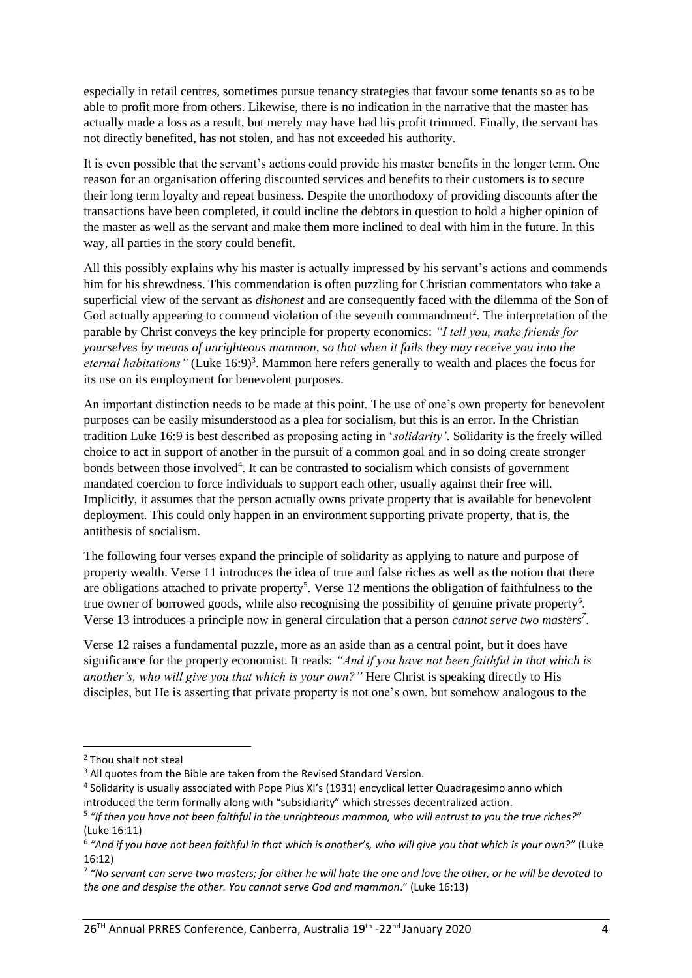especially in retail centres, sometimes pursue tenancy strategies that favour some tenants so as to be able to profit more from others. Likewise, there is no indication in the narrative that the master has actually made a loss as a result, but merely may have had his profit trimmed. Finally, the servant has not directly benefited, has not stolen, and has not exceeded his authority.

It is even possible that the servant's actions could provide his master benefits in the longer term. One reason for an organisation offering discounted services and benefits to their customers is to secure their long term loyalty and repeat business. Despite the unorthodoxy of providing discounts after the transactions have been completed, it could incline the debtors in question to hold a higher opinion of the master as well as the servant and make them more inclined to deal with him in the future. In this way, all parties in the story could benefit.

All this possibly explains why his master is actually impressed by his servant's actions and commends him for his shrewdness. This commendation is often puzzling for Christian commentators who take a superficial view of the servant as *dishonest* and are consequently faced with the dilemma of the Son of God actually appearing to commend violation of the seventh commandment<sup>2</sup>. The interpretation of the parable by Christ conveys the key principle for property economics: *"I tell you, make friends for yourselves by means of unrighteous mammon, so that when it fails they may receive you into the*  eternal habitations" (Luke 16:9)<sup>3</sup>. Mammon here refers generally to wealth and places the focus for its use on its employment for benevolent purposes.

An important distinction needs to be made at this point. The use of one's own property for benevolent purposes can be easily misunderstood as a plea for socialism, but this is an error. In the Christian tradition Luke 16:9 is best described as proposing acting in '*solidarity'*. Solidarity is the freely willed choice to act in support of another in the pursuit of a common goal and in so doing create stronger bonds between those involved<sup>4</sup>. It can be contrasted to socialism which consists of government mandated coercion to force individuals to support each other, usually against their free will. Implicitly, it assumes that the person actually owns private property that is available for benevolent deployment. This could only happen in an environment supporting private property, that is, the antithesis of socialism.

The following four verses expand the principle of solidarity as applying to nature and purpose of property wealth. Verse 11 introduces the idea of true and false riches as well as the notion that there are obligations attached to private property<sup>5</sup>. Verse 12 mentions the obligation of faithfulness to the true owner of borrowed goods, while also recognising the possibility of genuine private property<sup>6</sup>. Verse 13 introduces a principle now in general circulation that a person *cannot serve two masters<sup>7</sup>* .

Verse 12 raises a fundamental puzzle, more as an aside than as a central point, but it does have significance for the property economist. It reads: *"And if you have not been faithful in that which is another's, who will give you that which is your own?"* Here Christ is speaking directly to His disciples, but He is asserting that private property is not one's own, but somehow analogous to the

**.** 

- <sup>4</sup> Solidarity is usually associated with Pope Pius XI's (1931) encyclical letter Quadragesimo anno which introduced the term formally along with "subsidiarity" which stresses decentralized action.
- 5 *"If then you have not been faithful in the unrighteous mammon, who will entrust to you the true riches?"* (Luke 16:11)

<sup>2</sup> Thou shalt not steal

<sup>&</sup>lt;sup>3</sup> All quotes from the Bible are taken from the Revised Standard Version.

<sup>6</sup> *"And if you have not been faithful in that which is another's, who will give you that which is your own?"* (Luke 16:12)

<sup>7</sup> *"No servant can serve two masters; for either he will hate the one and love the other, or he will be devoted to the one and despise the other. You cannot serve God and mammon*." (Luke 16:13)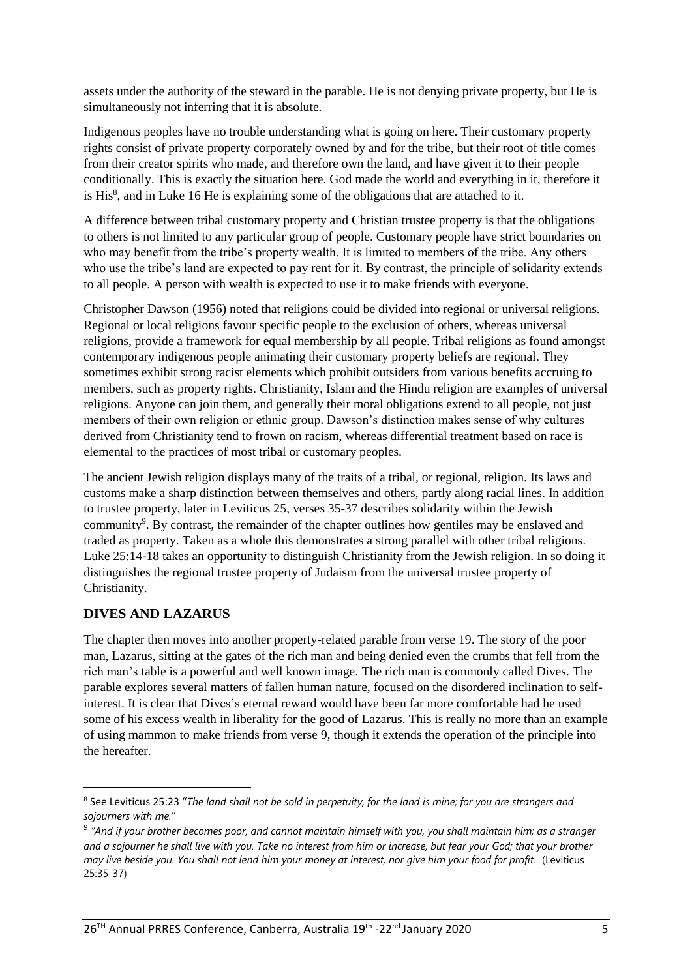assets under the authority of the steward in the parable. He is not denying private property, but He is simultaneously not inferring that it is absolute.

Indigenous peoples have no trouble understanding what is going on here. Their customary property rights consist of private property corporately owned by and for the tribe, but their root of title comes from their creator spirits who made, and therefore own the land, and have given it to their people conditionally. This is exactly the situation here. God made the world and everything in it, therefore it is His<sup>8</sup>, and in Luke 16 He is explaining some of the obligations that are attached to it.

A difference between tribal customary property and Christian trustee property is that the obligations to others is not limited to any particular group of people. Customary people have strict boundaries on who may benefit from the tribe's property wealth. It is limited to members of the tribe. Any others who use the tribe's land are expected to pay rent for it. By contrast, the principle of solidarity extends to all people. A person with wealth is expected to use it to make friends with everyone.

Christopher Dawson (1956) noted that religions could be divided into regional or universal religions. Regional or local religions favour specific people to the exclusion of others, whereas universal religions, provide a framework for equal membership by all people. Tribal religions as found amongst contemporary indigenous people animating their customary property beliefs are regional. They sometimes exhibit strong racist elements which prohibit outsiders from various benefits accruing to members, such as property rights. Christianity, Islam and the Hindu religion are examples of universal religions. Anyone can join them, and generally their moral obligations extend to all people, not just members of their own religion or ethnic group. Dawson's distinction makes sense of why cultures derived from Christianity tend to frown on racism, whereas differential treatment based on race is elemental to the practices of most tribal or customary peoples.

The ancient Jewish religion displays many of the traits of a tribal, or regional, religion. Its laws and customs make a sharp distinction between themselves and others, partly along racial lines. In addition to trustee property, later in Leviticus 25, verses 35-37 describes solidarity within the Jewish community<sup>9</sup>. By contrast, the remainder of the chapter outlines how gentiles may be enslaved and traded as property. Taken as a whole this demonstrates a strong parallel with other tribal religions. Luke 25:14-18 takes an opportunity to distinguish Christianity from the Jewish religion. In so doing it distinguishes the regional trustee property of Judaism from the universal trustee property of Christianity.

## **DIVES AND LAZARUS**

**.** 

The chapter then moves into another property-related parable from verse 19. The story of the poor man, Lazarus, sitting at the gates of the rich man and being denied even the crumbs that fell from the rich man's table is a powerful and well known image. The rich man is commonly called Dives. The parable explores several matters of fallen human nature, focused on the disordered inclination to selfinterest. It is clear that Dives's eternal reward would have been far more comfortable had he used some of his excess wealth in liberality for the good of Lazarus. This is really no more than an example of using mammon to make friends from verse 9, though it extends the operation of the principle into the hereafter.

<sup>8</sup> See Leviticus 25:23 "*The land shall not be sold in perpetuity, for the land is mine; for you are strangers and sojourners with me.*"

<sup>9</sup> *"And if your brother becomes poor, and cannot maintain himself with you, you shall maintain him; as a stranger and a sojourner he shall live with you. Take no interest from him or increase, but fear your God; that your brother may live beside you. You shall not lend him your money at interest, nor give him your food for profit.* (Leviticus 25:35-37)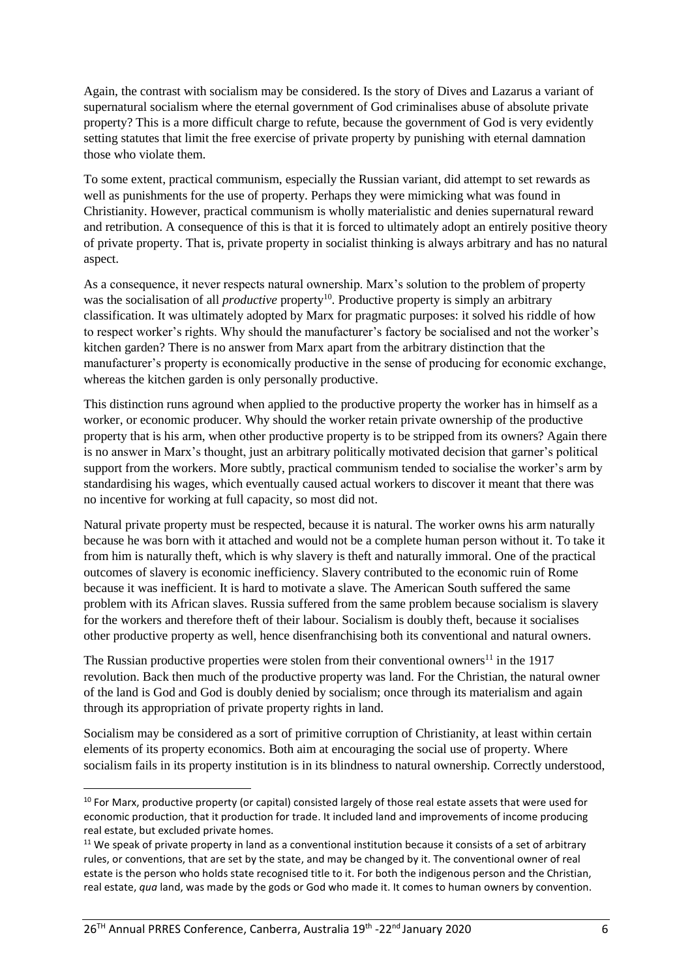Again, the contrast with socialism may be considered. Is the story of Dives and Lazarus a variant of supernatural socialism where the eternal government of God criminalises abuse of absolute private property? This is a more difficult charge to refute, because the government of God is very evidently setting statutes that limit the free exercise of private property by punishing with eternal damnation those who violate them.

To some extent, practical communism, especially the Russian variant, did attempt to set rewards as well as punishments for the use of property. Perhaps they were mimicking what was found in Christianity. However, practical communism is wholly materialistic and denies supernatural reward and retribution. A consequence of this is that it is forced to ultimately adopt an entirely positive theory of private property. That is, private property in socialist thinking is always arbitrary and has no natural aspect.

As a consequence, it never respects natural ownership. Marx's solution to the problem of property was the socialisation of all *productive* property<sup>10</sup>. Productive property is simply an arbitrary classification. It was ultimately adopted by Marx for pragmatic purposes: it solved his riddle of how to respect worker's rights. Why should the manufacturer's factory be socialised and not the worker's kitchen garden? There is no answer from Marx apart from the arbitrary distinction that the manufacturer's property is economically productive in the sense of producing for economic exchange, whereas the kitchen garden is only personally productive.

This distinction runs aground when applied to the productive property the worker has in himself as a worker, or economic producer. Why should the worker retain private ownership of the productive property that is his arm, when other productive property is to be stripped from its owners? Again there is no answer in Marx's thought, just an arbitrary politically motivated decision that garner's political support from the workers. More subtly, practical communism tended to socialise the worker's arm by standardising his wages, which eventually caused actual workers to discover it meant that there was no incentive for working at full capacity, so most did not.

Natural private property must be respected, because it is natural. The worker owns his arm naturally because he was born with it attached and would not be a complete human person without it. To take it from him is naturally theft, which is why slavery is theft and naturally immoral. One of the practical outcomes of slavery is economic inefficiency. Slavery contributed to the economic ruin of Rome because it was inefficient. It is hard to motivate a slave. The American South suffered the same problem with its African slaves. Russia suffered from the same problem because socialism is slavery for the workers and therefore theft of their labour. Socialism is doubly theft, because it socialises other productive property as well, hence disenfranchising both its conventional and natural owners.

The Russian productive properties were stolen from their conventional owners<sup>11</sup> in the 1917 revolution. Back then much of the productive property was land. For the Christian, the natural owner of the land is God and God is doubly denied by socialism; once through its materialism and again through its appropriation of private property rights in land.

Socialism may be considered as a sort of primitive corruption of Christianity, at least within certain elements of its property economics. Both aim at encouraging the social use of property. Where socialism fails in its property institution is in its blindness to natural ownership. Correctly understood,

 $\overline{a}$ 

<sup>&</sup>lt;sup>10</sup> For Marx, productive property (or capital) consisted largely of those real estate assets that were used for economic production, that it production for trade. It included land and improvements of income producing real estate, but excluded private homes.

<sup>&</sup>lt;sup>11</sup> We speak of private property in land as a conventional institution because it consists of a set of arbitrary rules, or conventions, that are set by the state, and may be changed by it. The conventional owner of real estate is the person who holds state recognised title to it. For both the indigenous person and the Christian, real estate, *qua* land, was made by the gods or God who made it. It comes to human owners by convention.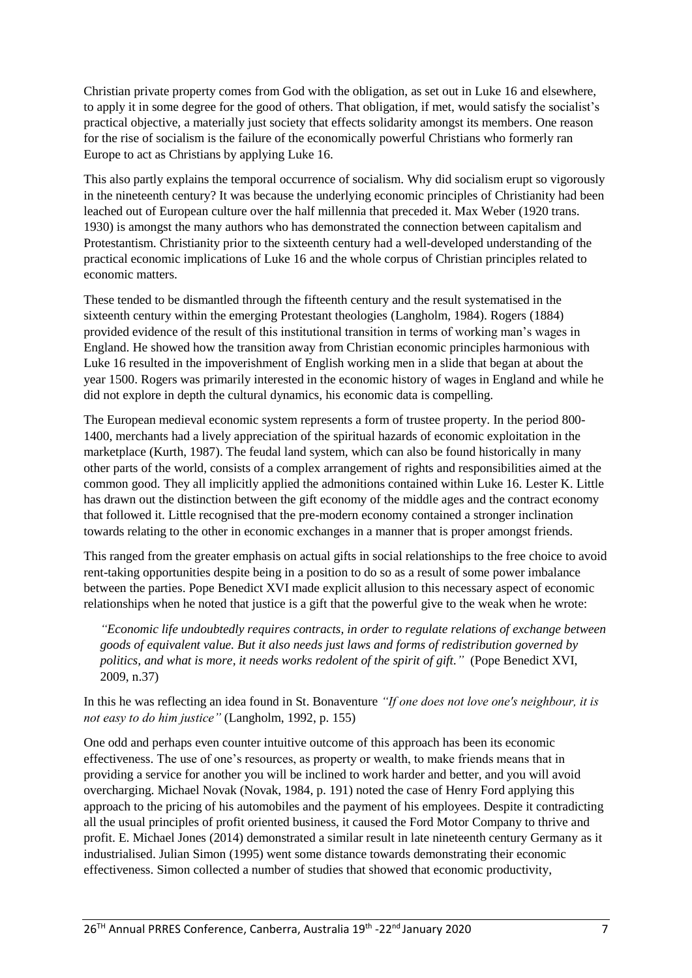Christian private property comes from God with the obligation, as set out in Luke 16 and elsewhere, to apply it in some degree for the good of others. That obligation, if met, would satisfy the socialist's practical objective, a materially just society that effects solidarity amongst its members. One reason for the rise of socialism is the failure of the economically powerful Christians who formerly ran Europe to act as Christians by applying Luke 16.

This also partly explains the temporal occurrence of socialism. Why did socialism erupt so vigorously in the nineteenth century? It was because the underlying economic principles of Christianity had been leached out of European culture over the half millennia that preceded it. Max Weber (1920 trans. 1930) is amongst the many authors who has demonstrated the connection between capitalism and Protestantism. Christianity prior to the sixteenth century had a well-developed understanding of the practical economic implications of Luke 16 and the whole corpus of Christian principles related to economic matters.

These tended to be dismantled through the fifteenth century and the result systematised in the sixteenth century within the emerging Protestant theologies (Langholm, 1984). Rogers (1884) provided evidence of the result of this institutional transition in terms of working man's wages in England. He showed how the transition away from Christian economic principles harmonious with Luke 16 resulted in the impoverishment of English working men in a slide that began at about the year 1500. Rogers was primarily interested in the economic history of wages in England and while he did not explore in depth the cultural dynamics, his economic data is compelling.

The European medieval economic system represents a form of trustee property. In the period 800- 1400, merchants had a lively appreciation of the spiritual hazards of economic exploitation in the marketplace (Kurth, 1987). The feudal land system, which can also be found historically in many other parts of the world, consists of a complex arrangement of rights and responsibilities aimed at the common good. They all implicitly applied the admonitions contained within Luke 16. Lester K. Little has drawn out the distinction between the gift economy of the middle ages and the contract economy that followed it. Little recognised that the pre-modern economy contained a stronger inclination towards relating to the other in economic exchanges in a manner that is proper amongst friends.

This ranged from the greater emphasis on actual gifts in social relationships to the free choice to avoid rent-taking opportunities despite being in a position to do so as a result of some power imbalance between the parties. Pope Benedict XVI made explicit allusion to this necessary aspect of economic relationships when he noted that justice is a gift that the powerful give to the weak when he wrote:

*"Economic life undoubtedly requires contracts, in order to regulate relations of exchange between goods of equivalent value. But it also needs just laws and forms of redistribution governed by politics, and what is more, it needs works redolent of the spirit of gift."* (Pope Benedict XVI, 2009, n.37)

In this he was reflecting an idea found in St. Bonaventure *"If one does not love one's neighbour, it is not easy to do him justice"* (Langholm, 1992, p. 155)

One odd and perhaps even counter intuitive outcome of this approach has been its economic effectiveness. The use of one's resources, as property or wealth, to make friends means that in providing a service for another you will be inclined to work harder and better, and you will avoid overcharging. Michael Novak (Novak, 1984, p. 191) noted the case of Henry Ford applying this approach to the pricing of his automobiles and the payment of his employees. Despite it contradicting all the usual principles of profit oriented business, it caused the Ford Motor Company to thrive and profit. E. Michael Jones (2014) demonstrated a similar result in late nineteenth century Germany as it industrialised. Julian Simon (1995) went some distance towards demonstrating their economic effectiveness. Simon collected a number of studies that showed that economic productivity,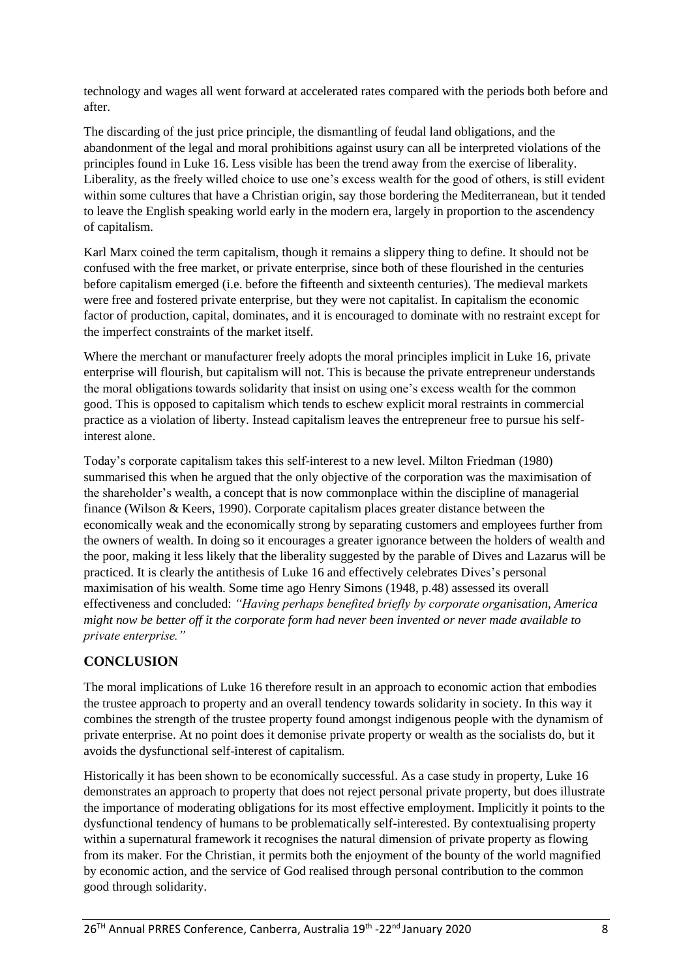technology and wages all went forward at accelerated rates compared with the periods both before and after.

The discarding of the just price principle, the dismantling of feudal land obligations, and the abandonment of the legal and moral prohibitions against usury can all be interpreted violations of the principles found in Luke 16. Less visible has been the trend away from the exercise of liberality. Liberality, as the freely willed choice to use one's excess wealth for the good of others, is still evident within some cultures that have a Christian origin, say those bordering the Mediterranean, but it tended to leave the English speaking world early in the modern era, largely in proportion to the ascendency of capitalism.

Karl Marx coined the term capitalism, though it remains a slippery thing to define. It should not be confused with the free market, or private enterprise, since both of these flourished in the centuries before capitalism emerged (i.e. before the fifteenth and sixteenth centuries). The medieval markets were free and fostered private enterprise, but they were not capitalist. In capitalism the economic factor of production, capital, dominates, and it is encouraged to dominate with no restraint except for the imperfect constraints of the market itself.

Where the merchant or manufacturer freely adopts the moral principles implicit in Luke 16, private enterprise will flourish, but capitalism will not. This is because the private entrepreneur understands the moral obligations towards solidarity that insist on using one's excess wealth for the common good. This is opposed to capitalism which tends to eschew explicit moral restraints in commercial practice as a violation of liberty. Instead capitalism leaves the entrepreneur free to pursue his selfinterest alone.

Today's corporate capitalism takes this self-interest to a new level. Milton Friedman (1980) summarised this when he argued that the only objective of the corporation was the maximisation of the shareholder's wealth, a concept that is now commonplace within the discipline of managerial finance (Wilson & Keers, 1990). Corporate capitalism places greater distance between the economically weak and the economically strong by separating customers and employees further from the owners of wealth. In doing so it encourages a greater ignorance between the holders of wealth and the poor, making it less likely that the liberality suggested by the parable of Dives and Lazarus will be practiced. It is clearly the antithesis of Luke 16 and effectively celebrates Dives's personal maximisation of his wealth. Some time ago Henry Simons (1948, p.48) assessed its overall effectiveness and concluded: *"Having perhaps benefited briefly by corporate organisation, America might now be better off it the corporate form had never been invented or never made available to private enterprise."*

## **CONCLUSION**

The moral implications of Luke 16 therefore result in an approach to economic action that embodies the trustee approach to property and an overall tendency towards solidarity in society. In this way it combines the strength of the trustee property found amongst indigenous people with the dynamism of private enterprise. At no point does it demonise private property or wealth as the socialists do, but it avoids the dysfunctional self-interest of capitalism.

Historically it has been shown to be economically successful. As a case study in property, Luke 16 demonstrates an approach to property that does not reject personal private property, but does illustrate the importance of moderating obligations for its most effective employment. Implicitly it points to the dysfunctional tendency of humans to be problematically self-interested. By contextualising property within a supernatural framework it recognises the natural dimension of private property as flowing from its maker. For the Christian, it permits both the enjoyment of the bounty of the world magnified by economic action, and the service of God realised through personal contribution to the common good through solidarity.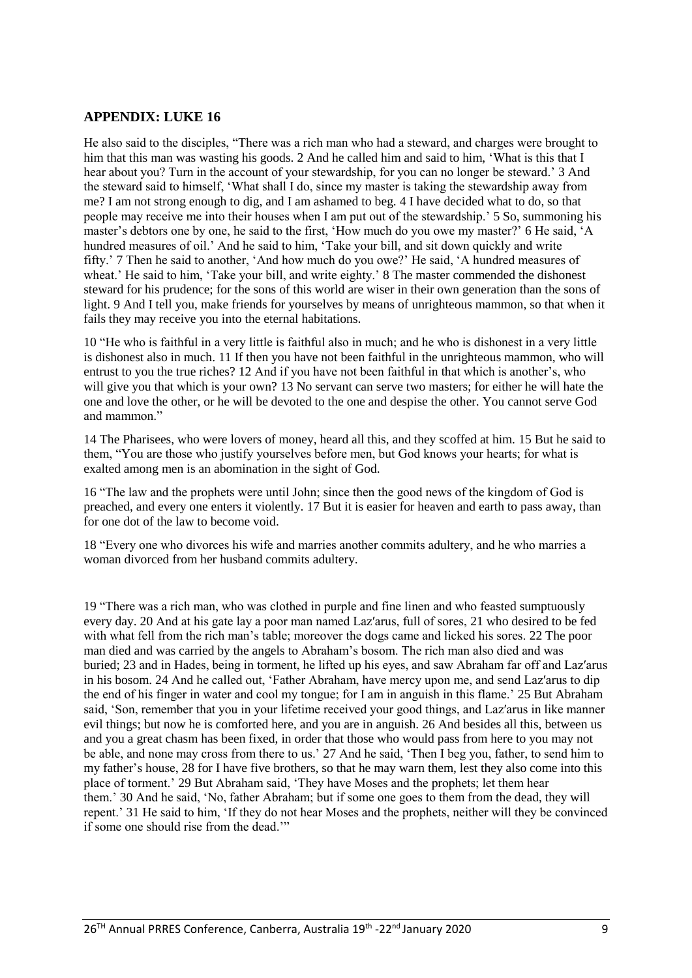#### **APPENDIX: LUKE 16**

He also said to the disciples, "There was a rich man who had a steward, and charges were brought to him that this man was wasting his goods. 2 And he called him and said to him, 'What is this that I hear about you? Turn in the account of your stewardship, for you can no longer be steward.' 3 And the steward said to himself, 'What shall I do, since my master is taking the stewardship away from me? I am not strong enough to dig, and I am ashamed to beg. 4 I have decided what to do, so that people may receive me into their houses when I am put out of the stewardship.' 5 So, summoning his master's debtors one by one, he said to the first, 'How much do you owe my master?' 6 He said, 'A hundred measures of oil.' And he said to him, 'Take your bill, and sit down quickly and write fifty.' 7 Then he said to another, 'And how much do you owe?' He said, 'A hundred measures of wheat.' He said to him, 'Take your bill, and write eighty.' 8 The master commended the dishonest steward for his prudence; for the sons of this world are wiser in their own generation than the sons of light. 9 And I tell you, make friends for yourselves by means of unrighteous mammon, so that when it fails they may receive you into the eternal habitations.

10 "He who is faithful in a very little is faithful also in much; and he who is dishonest in a very little is dishonest also in much. 11 If then you have not been faithful in the unrighteous mammon, who will entrust to you the true riches? 12 And if you have not been faithful in that which is another's, who will give you that which is your own? 13 No servant can serve two masters; for either he will hate the one and love the other, or he will be devoted to the one and despise the other. You cannot serve God and mammon."

14 The Pharisees, who were lovers of money, heard all this, and they scoffed at him. 15 But he said to them, "You are those who justify yourselves before men, but God knows your hearts; for what is exalted among men is an abomination in the sight of God.

16 "The law and the prophets were until John; since then the good news of the kingdom of God is preached, and every one enters it violently. 17 But it is easier for heaven and earth to pass away, than for one dot of the law to become void.

18 "Every one who divorces his wife and marries another commits adultery, and he who marries a woman divorced from her husband commits adultery.

19 "There was a rich man, who was clothed in purple and fine linen and who feasted sumptuously every day. 20 And at his gate lay a poor man named Laz′arus, full of sores, 21 who desired to be fed with what fell from the rich man's table; moreover the dogs came and licked his sores. 22 The poor man died and was carried by the angels to Abraham's bosom. The rich man also died and was buried; 23 and in Hades, being in torment, he lifted up his eyes, and saw Abraham far off and Laz′arus in his bosom. 24 And he called out, 'Father Abraham, have mercy upon me, and send Laz′arus to dip the end of his finger in water and cool my tongue; for I am in anguish in this flame.' 25 But Abraham said, 'Son, remember that you in your lifetime received your good things, and Laz′arus in like manner evil things; but now he is comforted here, and you are in anguish. 26 And besides all this, between us and you a great chasm has been fixed, in order that those who would pass from here to you may not be able, and none may cross from there to us.' 27 And he said, 'Then I beg you, father, to send him to my father's house, 28 for I have five brothers, so that he may warn them, lest they also come into this place of torment.' 29 But Abraham said, 'They have Moses and the prophets; let them hear them.' 30 And he said, 'No, father Abraham; but if some one goes to them from the dead, they will repent.' 31 He said to him, 'If they do not hear Moses and the prophets, neither will they be convinced if some one should rise from the dead.'"